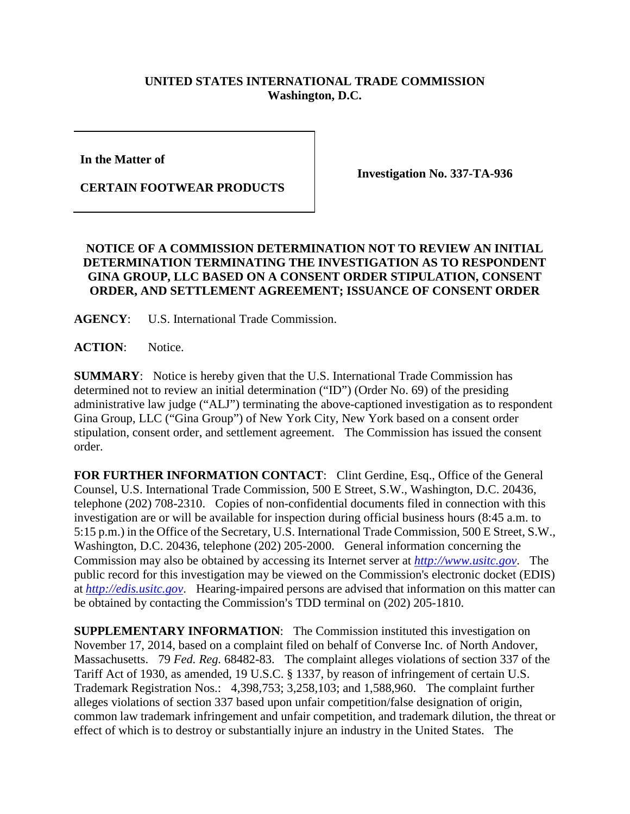## **UNITED STATES INTERNATIONAL TRADE COMMISSION Washington, D.C.**

**In the Matter of** 

**CERTAIN FOOTWEAR PRODUCTS**

**Investigation No. 337-TA-936**

## **NOTICE OF A COMMISSION DETERMINATION NOT TO REVIEW AN INITIAL DETERMINATION TERMINATING THE INVESTIGATION AS TO RESPONDENT GINA GROUP, LLC BASED ON A CONSENT ORDER STIPULATION, CONSENT ORDER, AND SETTLEMENT AGREEMENT; ISSUANCE OF CONSENT ORDER**

**AGENCY**: U.S. International Trade Commission.

**ACTION**: Notice.

**SUMMARY**: Notice is hereby given that the U.S. International Trade Commission has determined not to review an initial determination ("ID") (Order No. 69) of the presiding administrative law judge ("ALJ") terminating the above-captioned investigation as to respondent Gina Group, LLC ("Gina Group") of New York City, New York based on a consent order stipulation, consent order, and settlement agreement. The Commission has issued the consent order.

**FOR FURTHER INFORMATION CONTACT**: Clint Gerdine, Esq., Office of the General Counsel, U.S. International Trade Commission, 500 E Street, S.W., Washington, D.C. 20436, telephone (202) 708-2310. Copies of non-confidential documents filed in connection with this investigation are or will be available for inspection during official business hours (8:45 a.m. to 5:15 p.m.) in the Office of the Secretary, U.S. International Trade Commission, 500 E Street, S.W., Washington, D.C. 20436, telephone (202) 205-2000. General information concerning the Commission may also be obtained by accessing its Internet server at *[http://www.usitc.gov](http://www.usitc.gov/)*. The public record for this investigation may be viewed on the Commission's electronic docket (EDIS) at *[http://edis.usitc.gov](http://edis.usitc.gov/)*. Hearing-impaired persons are advised that information on this matter can be obtained by contacting the Commission's TDD terminal on (202) 205-1810.

**SUPPLEMENTARY INFORMATION:** The Commission instituted this investigation on November 17, 2014, based on a complaint filed on behalf of Converse Inc. of North Andover, Massachusetts. 79 *Fed. Reg.* 68482-83. The complaint alleges violations of section 337 of the Tariff Act of 1930, as amended, 19 U.S.C. § 1337, by reason of infringement of certain U.S. Trademark Registration Nos.: 4,398,753; 3,258,103; and 1,588,960. The complaint further alleges violations of section 337 based upon unfair competition/false designation of origin, common law trademark infringement and unfair competition, and trademark dilution, the threat or effect of which is to destroy or substantially injure an industry in the United States. The